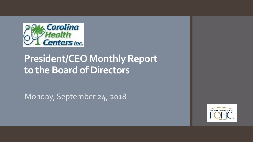

# **President/CEO Monthly Report to the Board of Directors**

Monday, September 24, 2018

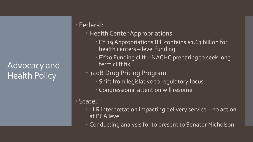## Advocacy and Health Policy

### Federal:

- Health Center Appropriations
	- FY 19 Appropriations Bill contains \$1.63 billion for health centers – level funding
	- FY20 Funding cliff NACHC preparing to seek long term cliff fix

#### 340B Drug Pricing Program

- Shift from legislative to regulatory focus
- Congressional attention will resume

#### State:

- LLR interpretation impacting delivery service no action at PCA level
- Conducting analysis for to present to Senator Nicholson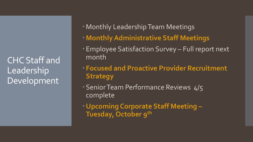CHC Staff and Leadership Development

- Monthly Leadership Team Meetings
- **Monthly Administrative Staff Meetings**
- Employee Satisfaction Survey Full report next month
- **Focused and Proactive Provider Recruitment Strategy**
- Senior Team Performance Reviews 4/5 complete
- **Upcoming Corporate Staff Meeting – Tuesday, October 9th**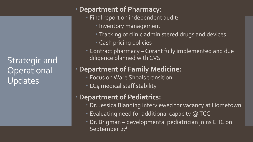Strategic and **Operational** Updates

#### **Department of Pharmacy:**

- **Final report on independent audit:** 
	- **Inventory management**
	- **Tracking of clinic administered drugs and devices**
	- Cash pricing policies
- Contract pharmacy Curant fully implemented and due diligence planned with CVS

#### **Department of Family Medicine:**

- **Focus on Ware Shoals transition**
- LC4 medical staff stability

#### **Department of Pediatrics:**

- Dr. Jessica Blanding interviewed for vacancy at Hometown
- Evaluating need for additional capacity @ TCC
- Dr. Brigman developmental pediatrician joins CHC on September 27<sup>th</sup>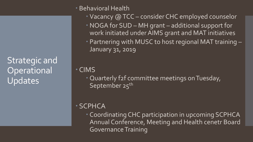Strategic and Operational Updates

#### Behavioral Health

- Vacancy @ TCC consider CHC employed counselor
- NOGA for SUD MH grant additional support for work initiated under AIMS grant and MAT initiatives
- Partnering with MUSC to host regional MAT training January 31, 2019

CIMS

 Quarterly f2f committee meetings on Tuesday, September 25<sup>th</sup>

### SCPHCA

 Coordinating CHC participation in upcoming SCPHCA Annual Conference, Meeting and Health cenetr Board Governance Training